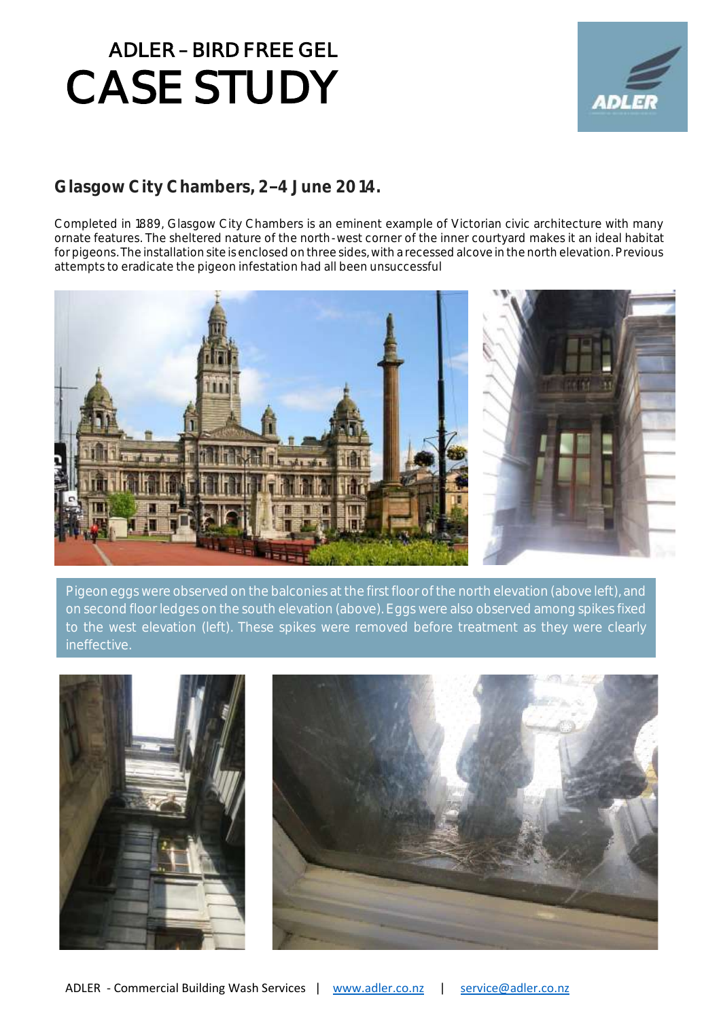

#### Glasgow City Chambers, 2-4 June 2014.

Completed in 1889, Glasgow City Chambers is an eminent example of Victorian civic architecture with many ornate features. The sheltered nature of the north-west corner of the inner courtyard makes it an ideal habitat for pigeons. The installation site is enclosed on three sides, with a recessed alcove in the north elevation. Previous attempts to eradicate the pigeon infestation had all been unsuccessful



Pigeon eggs were observed on the balconies at the first floor of the north elevation (above left), and on second floor ledges on the south elevation (above). Eggs were also observed among spikes fixed to the west elevation (left). These spikes were removed before treatment as they were clearly ineffective.

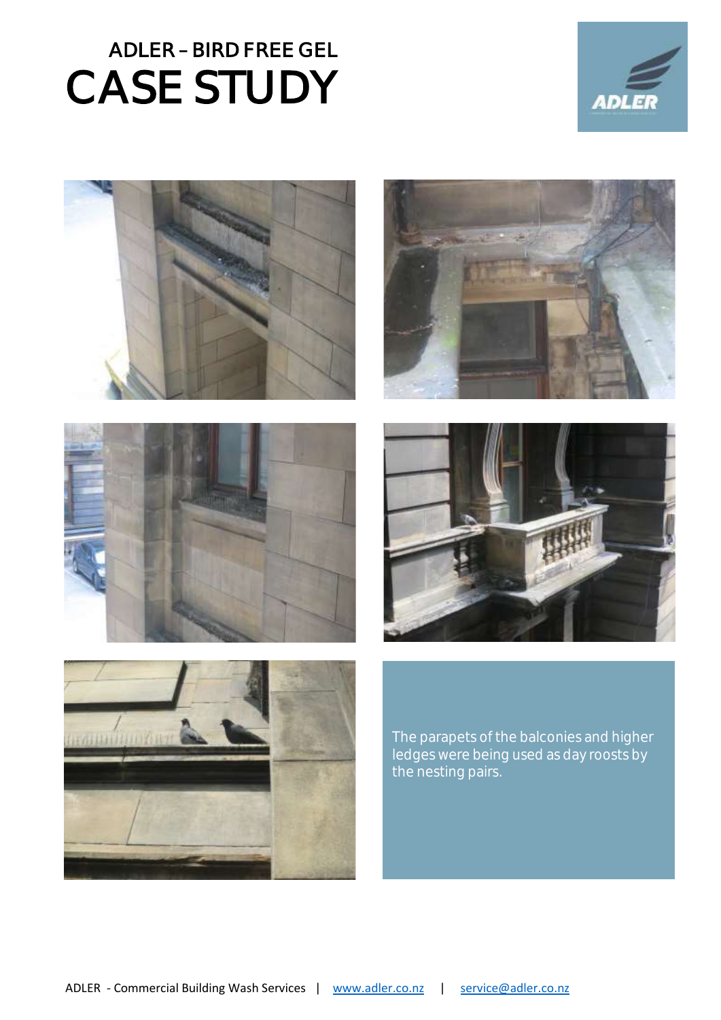











The parapets of the balconies and higher ledges were being used as day roosts by the nesting pairs.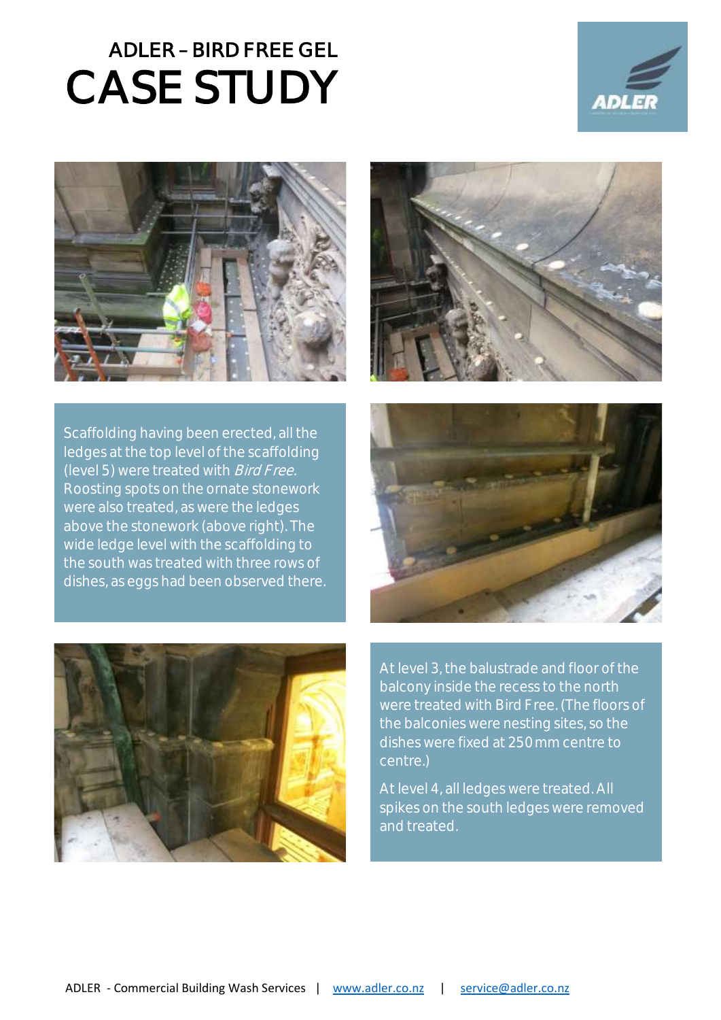



Scaffolding having been erected, all the ledges at the top level of the scaffolding (level 5) were treated with Bird Free. Roosting spots on the ornate stonework were also treated, as were the ledges above the stonework (above right). The wide ledge level with the scaffolding to the south was treated with three rows of dishes, as eggs had been observed there.







At level 3, the balustrade and floor of the balcony inside the recess to the north were treated with Bird Free. (The floors of the balconies were nesting sites, so the dishes were fixed at 250mm centre to centre.)

At level 4, all ledges were treated. All spikes on the south ledges were removed and treated.